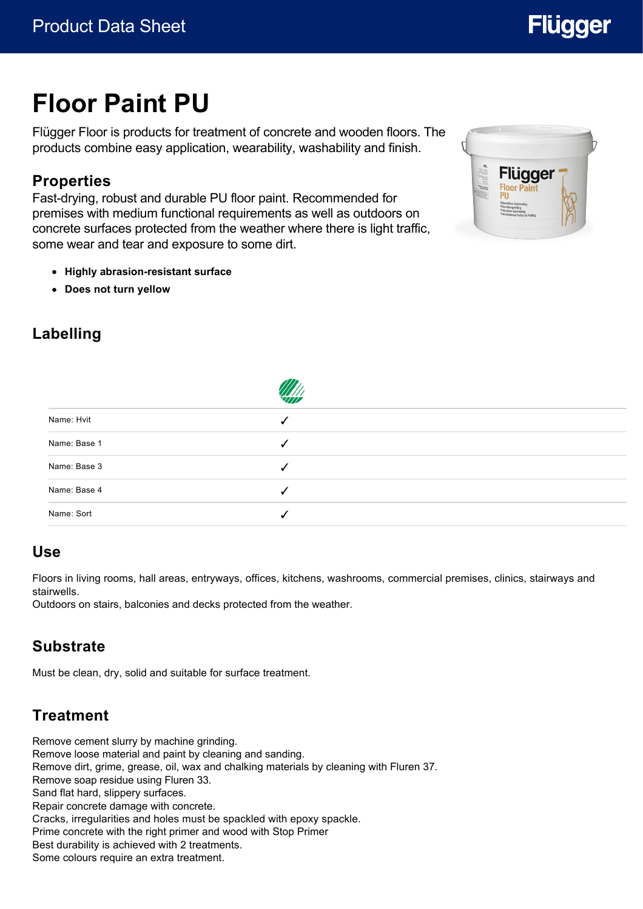# **Flügger**

# **Floor Paint PU**

Flügger Floor is products for treatment of concrete and wooden floors. The products combine easy application, wearability, washability and finish.

### **Properties**

Fast-drying, robust and durable PU floor paint. Recommended for premises with medium functional requirements as well as outdoors on concrete surfaces protected from the weather where there is light traffic, some wear and tear and exposure to some dirt.

- **Highly abrasion-resistant surface**
- **Does not turn yellow**



### **Labelling**

| Name: Hvit   |   |
|--------------|---|
| Name: Base 1 |   |
| Name: Base 3 | √ |
| Name: Base 4 |   |
| Name: Sort   |   |

#### **Use**

Floors in living rooms, hall areas, entryways, offices, kitchens, washrooms, commercial premises, clinics, stairways and stairwells.

Outdoors on stairs, balconies and decks protected from the weather.

#### **Substrate**

Must be clean, dry, solid and suitable for surface treatment.

## **Treatment**

Remove cement slurry by machine grinding. Remove loose material and paint by cleaning and sanding. Remove dirt, grime, grease, oil, wax and chalking materials by cleaning with Fluren 37. Remove soap residue using Fluren 33. Sand flat hard, slippery surfaces. Repair concrete damage with concrete. Cracks, irregularities and holes must be spackled with epoxy spackle. Prime concrete with the right primer and wood with Stop Primer Best durability is achieved with 2 treatments. Some colours require an extra treatment.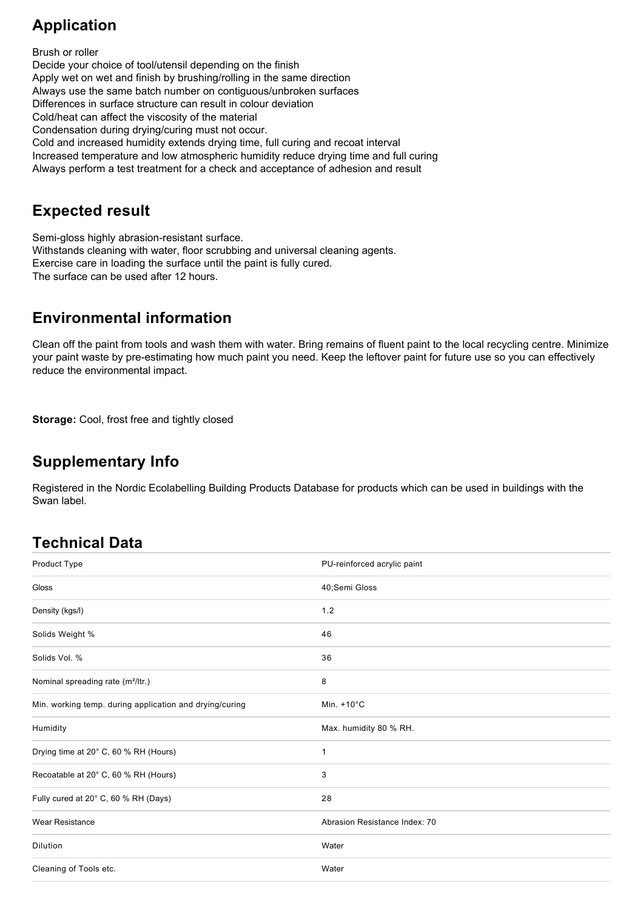### **Application**

Brush or roller Decide your choice of tool/utensil depending on the finish Apply wet on wet and finish by brushing/rolling in the same direction Always use the same batch number on contiguous/unbroken surfaces Differences in surface structure can result in colour deviation Cold/heat can affect the viscosity of the material Condensation during drying/curing must not occur. Cold and increased humidity extends drying time, full curing and recoat interval Increased temperature and low atmospheric humidity reduce drying time and full curing Always perform a test treatment for a check and acceptance of adhesion and result

#### **Expected result**

Semi-gloss highly abrasion-resistant surface. Withstands cleaning with water, floor scrubbing and universal cleaning agents. Exercise care in loading the surface until the paint is fully cured. The surface can be used after 12 hours.

#### **Environmental information**

Clean off the paint from tools and wash them with water. Bring remains of fluent paint to the local recycling centre. Minimize your paint waste by pre-estimating how much paint you need. Keep the leftover paint for future use so you can effectively reduce the environmental impact.

**Storage:** Cool, frost free and tightly closed

#### **Supplementary Info**

Registered in the Nordic Ecolabelling Building Products Database for products which can be used in buildings with the Swan label.

#### **Technical Data**

| Product Type                                            | PU-reinforced acrylic paint   |
|---------------------------------------------------------|-------------------------------|
| <b>Gloss</b>                                            | 40;Semi Gloss                 |
| Density (kgs/l)                                         | 1.2                           |
| Solids Weight %                                         | 46                            |
| Solids Vol. %                                           | 36                            |
| Nominal spreading rate (m <sup>2</sup> /ltr.)           | 8                             |
| Min. working temp. during application and drying/curing | Min. $+10^{\circ}$ C          |
| Humidity                                                | Max. humidity 80 % RH.        |
| Drying time at 20° C, 60 % RH (Hours)                   | 1                             |
| Recoatable at 20° C, 60 % RH (Hours)                    | 3                             |
| Fully cured at 20° C, 60 % RH (Days)                    | 28                            |
| <b>Wear Resistance</b>                                  | Abrasion Resistance Index: 70 |
| Dilution                                                | Water                         |
| Cleaning of Tools etc.                                  | Water                         |